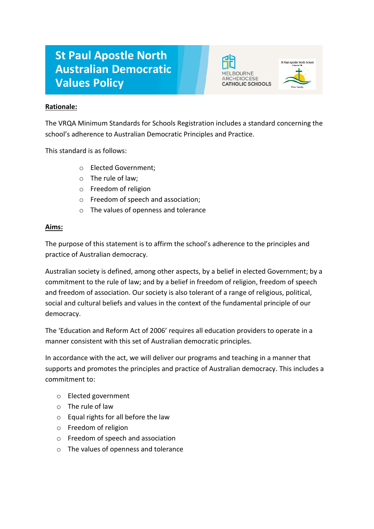# **St Paul Apostle North Australian Democratic Values Policy**





### **Rationale:**

The VRQA Minimum Standards for Schools Registration includes a standard concerning the school's adherence to Australian Democratic Principles and Practice.

This standard is as follows:

- o Elected Government;
- o The rule of law;
- o Freedom of religion
- o Freedom of speech and association;
- o The values of openness and tolerance

## **Aims:**

The purpose of this statement is to affirm the school's adherence to the principles and practice of Australian democracy.

Australian society is defined, among other aspects, by a belief in elected Government; by a commitment to the rule of law; and by a belief in freedom of religion, freedom of speech and freedom of association. Our society is also tolerant of a range of religious, political, social and cultural beliefs and values in the context of the fundamental principle of our democracy.

The 'Education and Reform Act of 2006' requires all education providers to operate in a manner consistent with this set of Australian democratic principles.

In accordance with the act, we will deliver our programs and teaching in a manner that supports and promotes the principles and practice of Australian democracy. This includes a commitment to:

- o Elected government
- o The rule of law
- o Equal rights for all before the law
- o Freedom of religion
- o Freedom of speech and association
- o The values of openness and tolerance